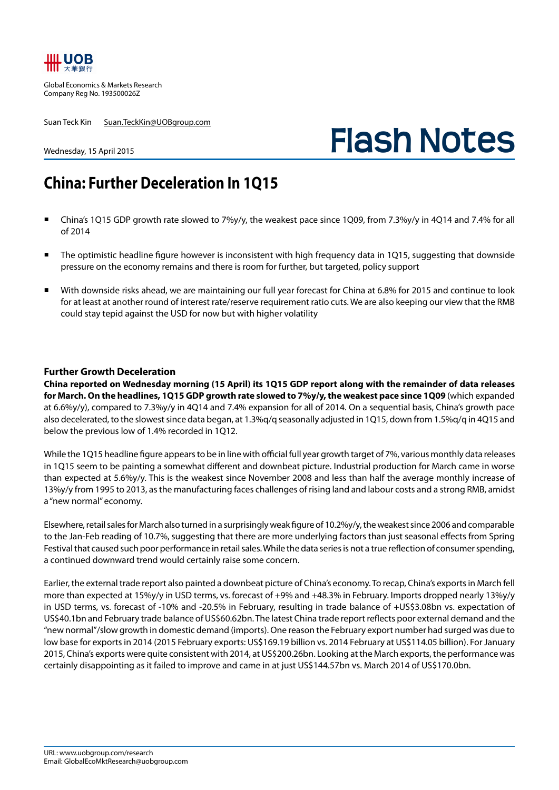

Global Economics & Markets Research Company Reg No. 193500026Z

Suan Teck Kin Suan.TeckKin@UOBgroup.com

Wednesday, 15 April 2015

# **Flash Notes**

## **China: Further Deceleration In 1Q15**

- China's 1Q15 GDP growth rate slowed to 7%y/y, the weakest pace since 1Q09, from 7.3%y/y in 4Q14 and 7.4% for all of 2014
- The optimistic headline figure however is inconsistent with high frequency data in 1Q15, suggesting that downside pressure on the economy remains and there is room for further, but targeted, policy support
- With downside risks ahead, we are maintaining our full year forecast for China at 6.8% for 2015 and continue to look for at least at another round of interest rate/reserve requirement ratio cuts. We are also keeping our view that the RMB could stay tepid against the USD for now but with higher volatility

### **Further Growth Deceleration**

**China reported on Wednesday morning (15 April) its 1Q15 GDP report along with the remainder of data releases for March. On the headlines, 1Q15 GDP growth rate slowed to 7%y/y, the weakest pace since 1Q09** (which expanded at 6.6%y/y), compared to 7.3%y/y in 4Q14 and 7.4% expansion for all of 2014. On a sequential basis, China's growth pace also decelerated, to the slowest since data began, at 1.3%q/q seasonally adjusted in 1Q15, down from 1.5%q/q in 4Q15 and below the previous low of 1.4% recorded in 1Q12.

While the 1Q15 headline figure appears to be in line with official full year growth target of 7%, various monthly data releases in 1Q15 seem to be painting a somewhat different and downbeat picture. Industrial production for March came in worse than expected at 5.6%y/y. This is the weakest since November 2008 and less than half the average monthly increase of 13%y/y from 1995 to 2013, as the manufacturing faces challenges of rising land and labour costs and a strong RMB, amidst a "new normal" economy.

Elsewhere, retail sales for March also turned in a surprisingly weak figure of 10.2%y/y, the weakest since 2006 and comparable to the Jan-Feb reading of 10.7%, suggesting that there are more underlying factors than just seasonal effects from Spring Festival that caused such poor performance in retail sales. While the data series is not a true reflection of consumer spending, a continued downward trend would certainly raise some concern.

Earlier, the external trade report also painted a downbeat picture of China's economy. To recap, China's exports in March fell more than expected at 15%y/y in USD terms, vs. forecast of +9% and +48.3% in February. Imports dropped nearly 13%y/y in USD terms, vs. forecast of -10% and -20.5% in February, resulting in trade balance of +US\$3.08bn vs. expectation of US\$40.1bn and February trade balance of US\$60.62bn. The latest China trade report reflects poor external demand and the "new normal"/slow growth in domestic demand (imports). One reason the February export number had surged was due to low base for exports in 2014 (2015 February exports: US\$169.19 billion vs. 2014 February at US\$114.05 billion). For January 2015, China's exports were quite consistent with 2014, at US\$200.26bn. Looking at the March exports, the performance was certainly disappointing as it failed to improve and came in at just US\$144.57bn vs. March 2014 of US\$170.0bn.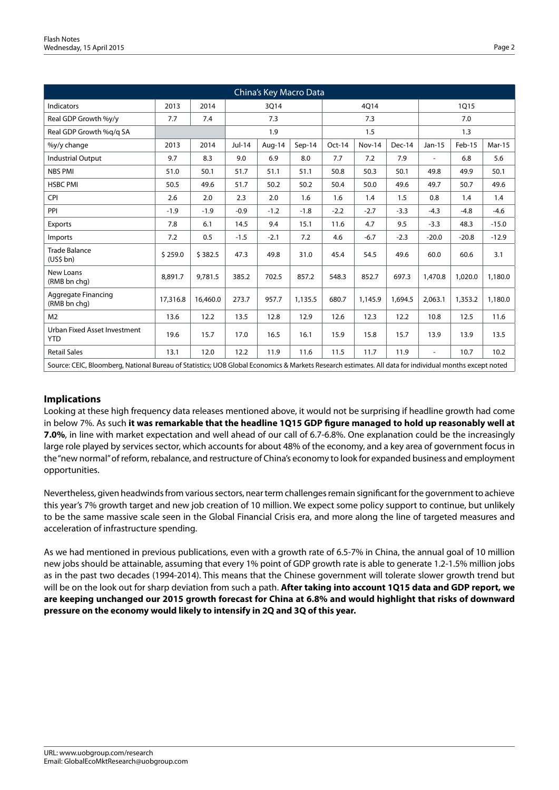| China's Key Macro Data                     |                                                                                                                                                        |          |          |        |         |        |               |         |                |         |               |  |
|--------------------------------------------|--------------------------------------------------------------------------------------------------------------------------------------------------------|----------|----------|--------|---------|--------|---------------|---------|----------------|---------|---------------|--|
| <b>Indicators</b>                          | 2013                                                                                                                                                   | 2014     | 3Q14     |        |         | 4Q14   |               |         | 1Q15           |         |               |  |
| Real GDP Growth %y/y                       | 7.7                                                                                                                                                    | 7.4      | 7.3      |        |         | 7.3    |               |         | 7.0            |         |               |  |
| Real GDP Growth %g/g SA                    |                                                                                                                                                        |          | 1.9      |        |         | 1.5    |               |         | 1.3            |         |               |  |
| %y/y change                                | 2013                                                                                                                                                   | 2014     | $Jul-14$ | Aug-14 | Sep-14  | Oct-14 | <b>Nov-14</b> | Dec-14  | Jan-15         | Feb-15  | <b>Mar-15</b> |  |
| <b>Industrial Output</b>                   | 9.7                                                                                                                                                    | 8.3      | 9.0      | 6.9    | 8.0     | 7.7    | 7.2           | 7.9     | $\blacksquare$ | 6.8     | 5.6           |  |
| <b>NBS PMI</b>                             | 51.0                                                                                                                                                   | 50.1     | 51.7     | 51.1   | 51.1    | 50.8   | 50.3          | 50.1    | 49.8           | 49.9    | 50.1          |  |
| <b>HSBC PMI</b>                            | 50.5                                                                                                                                                   | 49.6     | 51.7     | 50.2   | 50.2    | 50.4   | 50.0          | 49.6    | 49.7           | 50.7    | 49.6          |  |
| <b>CPI</b>                                 | 2.6                                                                                                                                                    | 2.0      | 2.3      | 2.0    | 1.6     | 1.6    | 1.4           | 1.5     | 0.8            | 1.4     | 1.4           |  |
| PPI                                        | $-1.9$                                                                                                                                                 | $-1.9$   | $-0.9$   | $-1.2$ | $-1.8$  | $-2.2$ | $-2.7$        | $-3.3$  | $-4.3$         | $-4.8$  | $-4.6$        |  |
| Exports                                    | 7.8                                                                                                                                                    | 6.1      | 14.5     | 9.4    | 15.1    | 11.6   | 4.7           | 9.5     | $-3.3$         | 48.3    | $-15.0$       |  |
| Imports                                    | 7.2                                                                                                                                                    | 0.5      | $-1.5$   | $-2.1$ | 7.2     | 4.6    | $-6.7$        | $-2.3$  | $-20.0$        | $-20.8$ | $-12.9$       |  |
| <b>Trade Balance</b><br>(US5 bh)           | \$259.0                                                                                                                                                | \$382.5  | 47.3     | 49.8   | 31.0    | 45.4   | 54.5          | 49.6    | 60.0           | 60.6    | 3.1           |  |
| New Loans<br>(RMB bn chg)                  | 8.891.7                                                                                                                                                | 9.781.5  | 385.2    | 702.5  | 857.2   | 548.3  | 852.7         | 697.3   | 1,470.8        | 1,020.0 | 1,180.0       |  |
| Aggregate Financing<br>(RMB bn chq)        | 17,316.8                                                                                                                                               | 16,460.0 | 273.7    | 957.7  | 1,135.5 | 680.7  | 1,145.9       | 1,694.5 | 2,063.1        | 1,353.2 | 1,180.0       |  |
| M <sub>2</sub>                             | 13.6                                                                                                                                                   | 12.2     | 13.5     | 12.8   | 12.9    | 12.6   | 12.3          | 12.2    | 10.8           | 12.5    | 11.6          |  |
| Urban Fixed Asset Investment<br><b>YTD</b> | 19.6                                                                                                                                                   | 15.7     | 17.0     | 16.5   | 16.1    | 15.9   | 15.8          | 15.7    | 13.9           | 13.9    | 13.5          |  |
| <b>Retail Sales</b>                        | 13.1                                                                                                                                                   | 12.0     | 12.2     | 11.9   | 11.6    | 11.5   | 11.7          | 11.9    | $\sim$         | 10.7    | 10.2          |  |
|                                            | Source: CEIC, Bloomberg, National Bureau of Statistics; UOB Global Economics & Markets Research estimates. All data for individual months except noted |          |          |        |         |        |               |         |                |         |               |  |

### **Implications**

Looking at these high frequency data releases mentioned above, it would not be surprising if headline growth had come in below 7%. As such **it was remarkable that the headline 1Q15 GDP figure managed to hold up reasonably well at 7.0%**, in line with market expectation and well ahead of our call of 6.7-6.8%. One explanation could be the increasingly large role played by services sector, which accounts for about 48% of the economy, and a key area of government focus in the "new normal" of reform, rebalance, and restructure of China's economy to look for expanded business and employment opportunities.

Nevertheless, given headwinds from various sectors, near term challenges remain significant for the government to achieve this year's 7% growth target and new job creation of 10 million. We expect some policy support to continue, but unlikely to be the same massive scale seen in the Global Financial Crisis era, and more along the line of targeted measures and acceleration of infrastructure spending.

As we had mentioned in previous publications, even with a growth rate of 6.5-7% in China, the annual goal of 10 million new jobs should be attainable, assuming that every 1% point of GDP growth rate is able to generate 1.2-1.5% million jobs as in the past two decades (1994-2014). This means that the Chinese government will tolerate slower growth trend but will be on the look out for sharp deviation from such a path. **After taking into account 1Q15 data and GDP report, we are keeping unchanged our 2015 growth forecast for China at 6.8% and would highlight that risks of downward pressure on the economy would likely to intensify in 2Q and 3Q of this year.**